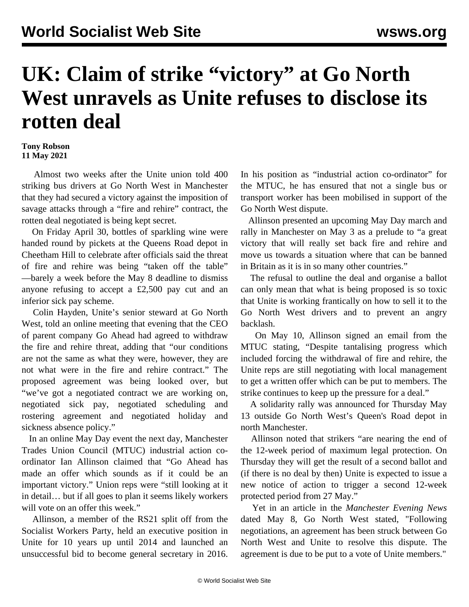## **UK: Claim of strike "victory" at Go North West unravels as Unite refuses to disclose its rotten deal**

## **Tony Robson 11 May 2021**

 Almost two weeks after the Unite union told 400 striking bus drivers at Go North West in Manchester that they had secured a victory against the imposition of savage attacks through a "fire and rehire" contract, the rotten deal negotiated is being kept secret.

 On Friday April 30, bottles of sparkling wine were handed round by pickets at the Queens Road depot in Cheetham Hill to celebrate after officials said the threat of fire and rehire was being "taken off the table" —barely a week before the May 8 deadline to dismiss anyone refusing to accept a £2,500 pay cut and an inferior sick pay scheme.

 Colin Hayden, Unite's senior steward at Go North West, told an online meeting that evening that the CEO of parent company Go Ahead had agreed to withdraw the fire and rehire threat, adding that "our conditions are not the same as what they were, however, they are not what were in the fire and rehire contract." The proposed agreement was being looked over, but "we've got a negotiated contract we are working on, negotiated sick pay, negotiated scheduling and rostering agreement and negotiated holiday and sickness absence policy."

 In an online May Day event the next day, Manchester Trades Union Council (MTUC) industrial action coordinator Ian Allinson claimed that "Go Ahead has made an offer which sounds as if it could be an important victory." Union reps were "still looking at it in detail… but if all goes to plan it seems likely workers will vote on an offer this week."

 Allinson, a member of the RS21 split off from the Socialist Workers Party, held an executive position in Unite for 10 years up until 2014 and launched an unsuccessful bid to become general secretary in 2016. In his position as "industrial action co-ordinator" for the MTUC, he has ensured that not a single bus or transport worker has been mobilised in support of the Go North West dispute.

 Allinson presented an upcoming May Day march and rally in Manchester on May 3 as a prelude to "a great victory that will really set back fire and rehire and move us towards a situation where that can be banned in Britain as it is in so many other countries."

 The refusal to outline the deal and organise a ballot can only mean that what is being proposed is so toxic that Unite is working frantically on how to sell it to the Go North West drivers and to prevent an angry backlash.

 On May 10, Allinson signed an email from the MTUC stating, "Despite tantalising progress which included forcing the withdrawal of fire and rehire, the Unite reps are still negotiating with local management to get a written offer which can be put to members. The strike continues to keep up the pressure for a deal."

 A solidarity rally was announced for Thursday May 13 outside Go North West's Queen's Road depot in north Manchester.

 Allinson noted that strikers "are nearing the end of the 12-week period of maximum legal protection. On Thursday they will get the result of a second ballot and (if there is no deal by then) Unite is expected to issue a new notice of action to trigger a second 12-week protected period from 27 May."

 Yet in an article in the *Manchester Evening News* dated May 8, Go North West stated, "Following negotiations, an agreement has been struck between Go North West and Unite to resolve this dispute. The agreement is due to be put to a vote of Unite members."